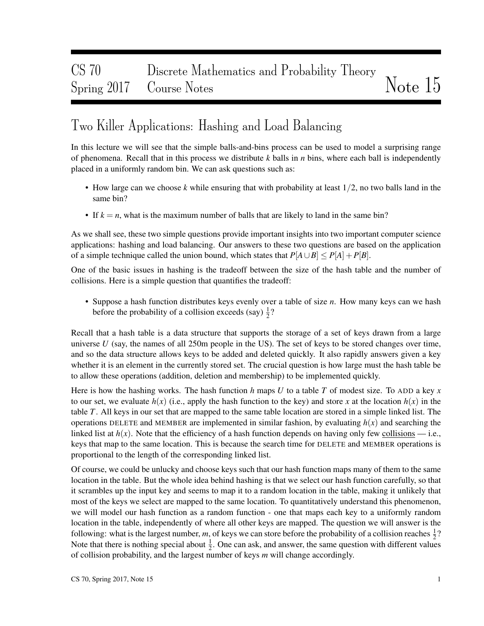# CS 70 Discrete Mathematics and Probability Theory Spring 2017 Course Notes Notes Notes Note 15

## Two Killer Applications: Hashing and Load Balancing

In this lecture we will see that the simple balls-and-bins process can be used to model a surprising range of phenomena. Recall that in this process we distribute *k* balls in *n* bins, where each ball is independently placed in a uniformly random bin. We can ask questions such as:

- How large can we choose *k* while ensuring that with probability at least 1/2, no two balls land in the same bin?
- If  $k = n$ , what is the maximum number of balls that are likely to land in the same bin?

As we shall see, these two simple questions provide important insights into two important computer science applications: hashing and load balancing. Our answers to these two questions are based on the application of a simple technique called the union bound, which states that  $P[A \cup B] \leq P[A] + P[B]$ .

One of the basic issues in hashing is the tradeoff between the size of the hash table and the number of collisions. Here is a simple question that quantifies the tradeoff:

• Suppose a hash function distributes keys evenly over a table of size *n*. How many keys can we hash before the probability of a collision exceeds (say)  $\frac{1}{2}$ ?

Recall that a hash table is a data structure that supports the storage of a set of keys drawn from a large universe  $U$  (say, the names of all 250m people in the US). The set of keys to be stored changes over time, and so the data structure allows keys to be added and deleted quickly. It also rapidly answers given a key whether it is an element in the currently stored set. The crucial question is how large must the hash table be to allow these operations (addition, deletion and membership) to be implemented quickly.

Here is how the hashing works. The hash function *h* maps *U* to a table *T* of modest size. To ADD a key *x* to our set, we evaluate  $h(x)$  (i.e., apply the hash function to the key) and store x at the location  $h(x)$  in the table *T*. All keys in our set that are mapped to the same table location are stored in a simple linked list. The operations DELETE and MEMBER are implemented in similar fashion, by evaluating  $h(x)$  and searching the linked list at  $h(x)$ . Note that the efficiency of a hash function depends on having only few collisions — i.e., keys that map to the same location. This is because the search time for DELETE and MEMBER operations is proportional to the length of the corresponding linked list.

Of course, we could be unlucky and choose keys such that our hash function maps many of them to the same location in the table. But the whole idea behind hashing is that we select our hash function carefully, so that it scrambles up the input key and seems to map it to a random location in the table, making it unlikely that most of the keys we select are mapped to the same location. To quantitatively understand this phenomenon, we will model our hash function as a random function - one that maps each key to a uniformly random location in the table, independently of where all other keys are mapped. The question we will answer is the following: what is the largest number,  $m$ , of keys we can store before the probability of a collision reaches  $\frac{1}{2}$ ? Note that there is nothing special about  $\frac{1}{2}$ . One can ask, and answer, the same question with different values of collision probability, and the largest number of keys *m* will change accordingly.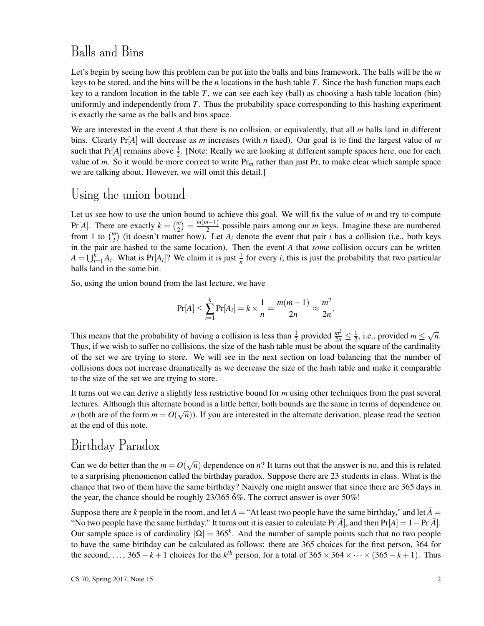## Balls and Bins

Let's begin by seeing how this problem can be put into the balls and bins framework. The balls will be the *m* keys to be stored, and the bins will be the *n* locations in the hash table *T*. Since the hash function maps each key to a random location in the table  $T$ , we can see each key (ball) as choosing a hash table location (bin) uniformly and independently from  $T$ . Thus the probability space corresponding to this hashing experiment is exactly the same as the balls and bins space.

We are interested in the event *A* that there is no collision, or equivalently, that all *m* balls land in different bins. Clearly Pr[*A*] will decrease as *m* increases (with *n* fixed). Our goal is to find the largest value of *m* such that  $Pr[A]$  remains above  $\frac{1}{2}$ . [Note: Really we are looking at different sample spaces here, one for each value of *m*. So it would be more correct to write Pr*<sup>m</sup>* rather than just Pr, to make clear which sample space we are talking about. However, we will omit this detail.]

#### Using the union bound

Let us see how to use the union bound to achieve this goal. We will fix the value of *m* and try to compute  $Pr[A]$ . There are exactly  $k = \binom{m}{2} = \frac{m(m-1)}{2}$  $\frac{2^{n-1}}{2}$  possible pairs among our *m* keys. Imagine these are numbered from 1 to  $\binom{m}{2}$  (it doesn't matter how). Let  $A_i$  denote the event that pair *i* has a collision (i.e., both keys in the pair are hashed to the same location). Then the event  $\overline{A}$  that *some* collision occurs can be written  $\overline{A} = \bigcup_{i=1}^{k} A_i$ . What is Pr[*A<sub>i</sub>*]? We claim it is just  $\frac{1}{n}$  for every *i*; this is just the probability that two particular balls land in the same bin.

So, using the union bound from the last lecture, we have

$$
\Pr[\overline{A}] \le \sum_{i=1}^k \Pr[A_i] = k \times \frac{1}{n} = \frac{m(m-1)}{2n} \approx \frac{m^2}{2n}.
$$

This means that the probability of having a collision is less than  $\frac{1}{2}$  provided  $\frac{m^2}{2n} \leq \frac{1}{2}$  $\frac{1}{2}$ , i.e., provided *m*  $\leq \sqrt{ }$ *n*. Thus, if we wish to suffer no collisions, the size of the hash table must be about the square of the cardinality of the set we are trying to store. We will see in the next section on load balancing that the number of collisions does not increase dramatically as we decrease the size of the hash table and make it comparable to the size of the set we are trying to store.

It turns out we can derive a slightly less restrictive bound for *m* using other techniques from the past several lectures. Although this alternate bound is a little better, both bounds are the same in terms of dependence on *n* (both are of the form  $m = O(\sqrt{n})$ ). If you are interested in the alternate derivation, please read the section at the end of this note.

## Birthday Paradox

Can we do better than the  $m = O(\sqrt{n})$  dependence on *n*? It turns out that the answer is no, and this is related to a surprising phenomenon called the birthday paradox. Suppose there are 23 students in class. What is the chance that two of them have the same birthday? Naively one might answer that since there are 365 days in the year, the chance should be roughly  $23/365$   $6\%$ . The correct answer is over 50%!

Suppose there are *k* people in the room, and let  $A = "At least two people have the same birthday," and let  $\overline{A} =$$ "No two people have the same birthday." It turns out it is easier to calculate Pr[*A*], and then Pr[*A*] = 1−Pr[*A*<sup>†</sup>. Our sample space is of cardinality  $|\Omega| = 365^k$ . And the number of sample points such that no two people to have the same birthday can be calculated as follows: there are 365 choices for the first person, 364 for the second, ..., 365 – *k* + 1 choices for the *k*<sup>th</sup> person, for a total of 365 × 364 × ··· × (365 – *k* + 1). Thus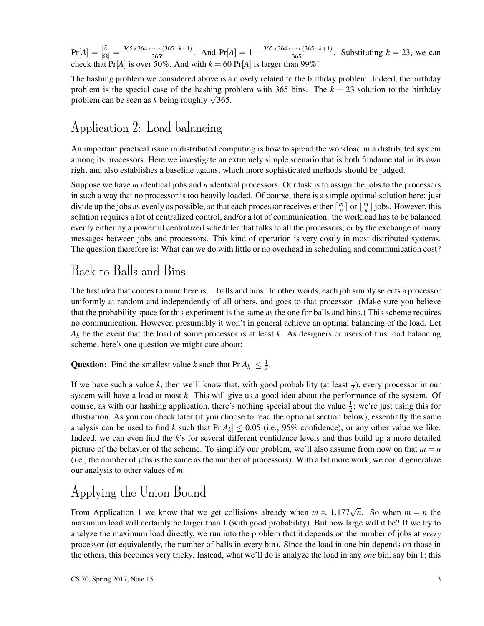$\Pr[\bar{A}] = \frac{|\bar{A}|}{|\Omega|} = \frac{365 \times 364 \times \dots \times (365-k+1)}{365^k}$  $\frac{365k}{365k}$  and Pr[A] = 1 −  $\frac{365\times364\times\cdots\times(365-k+1)}{365k}$  $\frac{365k}{365k}$ . Substituting  $k = 23$ , we can check that  $Pr[A]$  is over 50%. And with  $k = 60 Pr[A]$  is larger than 99%!

The hashing problem we considered above is a closely related to the birthday problem. Indeed, the birthday problem is the special case of the hashing problem with 365 bins. The  $k = 23$  solution to the birthday problem is the special case of the hashing problem can be seen as  $k$  being roughly  $\sqrt{365}$ .

## Application 2: Load balancing

An important practical issue in distributed computing is how to spread the workload in a distributed system among its processors. Here we investigate an extremely simple scenario that is both fundamental in its own right and also establishes a baseline against which more sophisticated methods should be judged.

Suppose we have *m* identical jobs and *n* identical processors. Our task is to assign the jobs to the processors in such a way that no processor is too heavily loaded. Of course, there is a simple optimal solution here: just divide up the jobs as evenly as possible, so that each processor receives either  $\lceil \frac{m}{n} \rceil$  $\frac{m}{n}$  or  $\frac{m}{n}$  $\frac{m}{n}$  jobs. However, this solution requires a lot of centralized control, and/or a lot of communication: the workload has to be balanced evenly either by a powerful centralized scheduler that talks to all the processors, or by the exchange of many messages between jobs and processors. This kind of operation is very costly in most distributed systems. The question therefore is: What can we do with little or no overhead in scheduling and communication cost?

### Back to Balls and Bins

The first idea that comes to mind here is... balls and bins! In other words, each job simply selects a processor uniformly at random and independently of all others, and goes to that processor. (Make sure you believe that the probability space for this experiment is the same as the one for balls and bins.) This scheme requires no communication. However, presumably it won't in general achieve an optimal balancing of the load. Let *A<sup>k</sup>* be the event that the load of some processor is at least *k*. As designers or users of this load balancing scheme, here's one question we might care about:

**Question:** Find the smallest value *k* such that  $Pr[A_k] \leq \frac{1}{2}$  $\frac{1}{2}$ .

If we have such a value k, then we'll know that, with good probability (at least  $\frac{1}{2}$ ), every processor in our system will have a load at most *k*. This will give us a good idea about the performance of the system. Of course, as with our hashing application, there's nothing special about the value  $\frac{1}{2}$ ; we're just using this for illustration. As you can check later (if you choose to read the optional section below), essentially the same analysis can be used to find *k* such that  $Pr[A_k] \le 0.05$  (i.e., 95% confidence), or any other value we like. Indeed, we can even find the *k*'s for several different confidence levels and thus build up a more detailed picture of the behavior of the scheme. To simplify our problem, we'll also assume from now on that  $m = n$ (i.e., the number of jobs is the same as the number of processors). With a bit more work, we could generalize our analysis to other values of *m*.

## Applying the Union Bound

From Application 1 we know that we get collisions already when  $m \approx 1.177\sqrt{n}$ . So when  $m = n$  the maximum load will certainly be larger than 1 (with good probability). But how large will it be? If we try to analyze the maximum load directly, we run into the problem that it depends on the number of jobs at *every* processor (or equivalently, the number of balls in every bin). Since the load in one bin depends on those in the others, this becomes very tricky. Instead, what we'll do is analyze the load in any *one* bin, say bin 1; this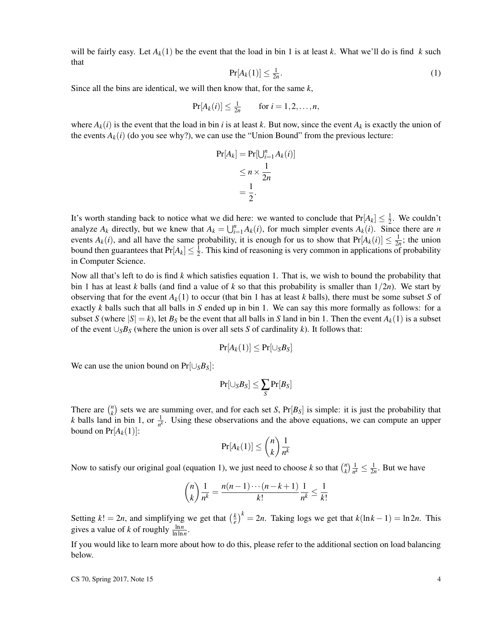will be fairly easy. Let  $A_k(1)$  be the event that the load in bin 1 is at least *k*. What we'll do is find *k* such that

$$
\Pr[A_k(1)] \le \frac{1}{2n}.\tag{1}
$$

Since all the bins are identical, we will then know that, for the same *k*,

$$
\Pr[A_k(i)] \leq \frac{1}{2n} \quad \text{for } i = 1, 2, \dots, n,
$$

where  $A_k(i)$  is the event that the load in bin *i* is at least *k*. But now, since the event  $A_k$  is exactly the union of the events  $A_k(i)$  (do you see why?), we can use the "Union Bound" from the previous lecture:

$$
Pr[A_k] = Pr[\bigcup_{i=1}^{n} A_k(i)]
$$
  
\n
$$
\leq n \times \frac{1}{2n}
$$
  
\n
$$
= \frac{1}{2}.
$$

It's worth standing back to notice what we did here: we wanted to conclude that  $Pr[A_k] \leq \frac{1}{2}$  $\frac{1}{2}$ . We couldn't analyze  $A_k$  directly, but we knew that  $A_k = \bigcup_{i=1}^n A_k(i)$ , for much simpler events  $A_k(i)$ . Since there are *n* events  $A_k(i)$ , and all have the same probability, it is enough for us to show that  $Pr[A_k(i)] \leq \frac{1}{2n}$ ; the union bound then guarantees that  $Pr[A_k] \leq \frac{1}{2}$  $\frac{1}{2}$ . This kind of reasoning is very common in applications of probability in Computer Science.

Now all that's left to do is find *k* which satisfies equation 1. That is, we wish to bound the probability that bin 1 has at least *k* balls (and find a value of *k* so that this probability is smaller than  $1/2n$ ). We start by observing that for the event  $A_k(1)$  to occur (that bin 1 has at least k balls), there must be some subset S of exactly *k* balls such that all balls in *S* ended up in bin 1. We can say this more formally as follows: for a subset *S* (where  $|S| = k$ ), let  $B_S$  be the event that all balls in *S* land in bin 1. Then the event  $A_k(1)$  is a subset of the event ∪*SB<sup>S</sup>* (where the union is over all sets *S* of cardinality *k*). It follows that:

$$
\Pr[A_k(1)] \le \Pr[\cup_S B_S]
$$

We can use the union bound on Pr[∪*SBS*]:

$$
\Pr[\cup_S B_S] \leq \sum_S \Pr[B_S]
$$

There are  $\binom{n}{k}$  $\binom{n}{k}$  sets we are summing over, and for each set *S*,  $Pr[B_S]$  is simple: it is just the probability that *k* balls land in bin 1, or  $\frac{1}{n^k}$ . Using these observations and the above equations, we can compute an upper bound on  $Pr[A_k(1)]$ :

$$
\Pr[A_k(1)] \le \binom{n}{k} \frac{1}{n^k}
$$

Now to satisfy our original goal (equation 1), we just need to choose  $k$  so that  $\binom{n}{k}$  $\binom{n}{k} \frac{1}{n^k}$  $\frac{1}{n^k} \leq \frac{1}{2n}$ . But we have

$$
\binom{n}{k}\frac{1}{n^k} = \frac{n(n-1)\cdots(n-k+1)}{k!}\frac{1}{n^k} \le \frac{1}{k!}
$$

Setting  $k! = 2n$ , and simplifying we get that  $\left(\frac{k}{e}\right)$  $\frac{k}{e}$ )<sup>*k*</sup> = 2*n*. Taking logs we get that *k*(ln*k* − 1) = ln 2*n*. This gives a value of *k* of roughly  $\frac{\ln n}{\ln \ln n}$ .

If you would like to learn more about how to do this, please refer to the additional section on load balancing below.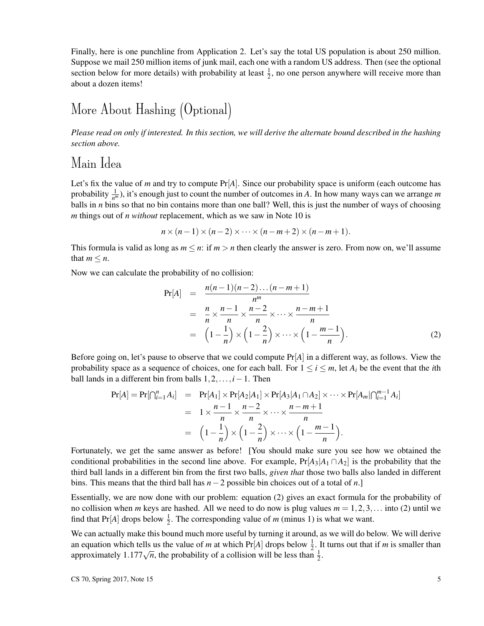Finally, here is one punchline from Application 2. Let's say the total US population is about 250 million. Suppose we mail 250 million items of junk mail, each one with a random US address. Then (see the optional section below for more details) with probability at least  $\frac{1}{2}$ , no one person anywhere will receive more than about a dozen items!

## More About Hashing (Optional)

*Please read on only if interested. In this section, we will derive the alternate bound described in the hashing section above.*

#### Main Idea

Let's fix the value of *m* and try to compute Pr[*A*]. Since our probability space is uniform (each outcome has probability  $\frac{1}{n^m}$ ), it's enough just to count the number of outcomes in *A*. In how many ways can we arrange *m* balls in *n* bins so that no bin contains more than one ball? Well, this is just the number of ways of choosing *m* things out of *n without* replacement, which as we saw in Note 10 is

$$
n \times (n-1) \times (n-2) \times \cdots \times (n-m+2) \times (n-m+1).
$$

This formula is valid as long as  $m \le n$ : if  $m > n$  then clearly the answer is zero. From now on, we'll assume that  $m \leq n$ .

Now we can calculate the probability of no collision:

$$
Pr[A] = \frac{n(n-1)(n-2)\dots(n-m+1)}{n^m}
$$
  
= 
$$
\frac{n}{n} \times \frac{n-1}{n} \times \frac{n-2}{n} \times \dots \times \frac{n-m+1}{n}
$$
  
= 
$$
(1 - \frac{1}{n}) \times (1 - \frac{2}{n}) \times \dots \times (1 - \frac{m-1}{n}).
$$
 (2)

Before going on, let's pause to observe that we could compute  $Pr[A]$  in a different way, as follows. View the probability space as a sequence of choices, one for each ball. For  $1 \le i \le m$ , let  $A_i$  be the event that the *i*th ball lands in a different bin from balls 1,2,...,*i*−1. Then

$$
Pr[A] = Pr[\bigcap_{i=1}^{n} A_i] = Pr[A_1] \times Pr[A_2|A_1] \times Pr[A_3|A_1 \cap A_2] \times \cdots \times Pr[A_m|\bigcap_{i=1}^{m-1} A_i]
$$
  
=  $1 \times \frac{n-1}{n} \times \frac{n-2}{n} \times \cdots \times \frac{n-m+1}{n}$   
=  $(1 - \frac{1}{n}) \times (1 - \frac{2}{n}) \times \cdots \times (1 - \frac{m-1}{n}).$ 

Fortunately, we get the same answer as before! [You should make sure you see how we obtained the conditional probabilities in the second line above. For example,  $Pr[A_3|A_1 \cap A_2]$  is the probability that the third ball lands in a different bin from the first two balls, *given that* those two balls also landed in different bins. This means that the third ball has *n*−2 possible bin choices out of a total of *n*.]

Essentially, we are now done with our problem: equation (2) gives an exact formula for the probability of no collision when *m* keys are hashed. All we need to do now is plug values  $m = 1, 2, 3, \dots$  into (2) until we find that  $Pr[A]$  drops below  $\frac{1}{2}$ . The corresponding value of *m* (minus 1) is what we want.

We can actually make this bound much more useful by turning it around, as we will do below. We will derive an equation which tells us the value of *m* at which  $Pr[A]$  drops below  $\frac{1}{2}$ . It turns out that if *m* is smaller than approximately  $1.177\sqrt{n}$ , the probability of a collision will be less than  $\frac{1}{2}$ .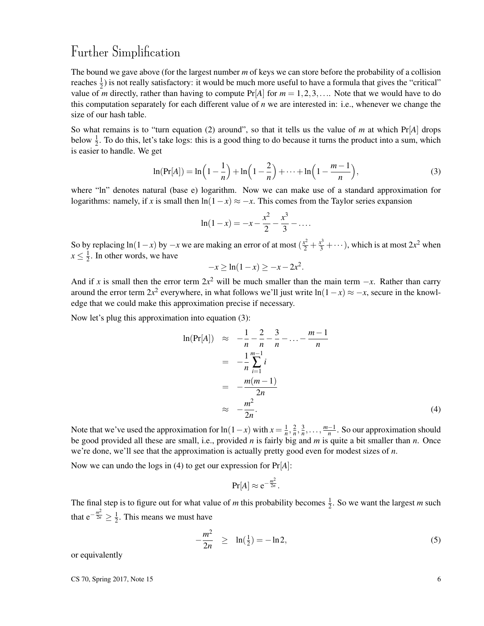### Further Simplification

The bound we gave above (for the largest number *m* of keys we can store before the probability of a collision reaches  $\frac{1}{2}$ ) is not really satisfactory: it would be much more useful to have a formula that gives the "critical" value of *m* directly, rather than having to compute  $Pr[A]$  for  $m = 1, 2, 3, \ldots$ . Note that we would have to do this computation separately for each different value of *n* we are interested in: i.e., whenever we change the size of our hash table.

So what remains is to "turn equation (2) around", so that it tells us the value of *m* at which Pr[*A*] drops below  $\frac{1}{2}$ . To do this, let's take logs: this is a good thing to do because it turns the product into a sum, which is easier to handle. We get

$$
\ln(\Pr[A]) = \ln\left(1 - \frac{1}{n}\right) + \ln\left(1 - \frac{2}{n}\right) + \dots + \ln\left(1 - \frac{m-1}{n}\right),\tag{3}
$$

where "ln" denotes natural (base e) logarithm. Now we can make use of a standard approximation for logarithms: namely, if *x* is small then  $ln(1-x) \approx -x$ . This comes from the Taylor series expansion

$$
\ln(1-x) = -x - \frac{x^2}{2} - \frac{x^3}{3} - \dots
$$

So by replacing  $ln(1-x)$  by  $-x$  we are making an error of at most  $\left(\frac{x^2}{2} + \frac{x^3}{3} + \cdots\right)$ , which is at most  $2x^2$  when  $x \leq \frac{1}{2}$  $\frac{1}{2}$ . In other words, we have

$$
-x \ge \ln(1-x) \ge -x - 2x^2.
$$

And if *x* is small then the error term  $2x^2$  will be much smaller than the main term  $-x$ . Rather than carry around the error term  $2x^2$  everywhere, in what follows we'll just write  $ln(1-x) \approx -x$ , secure in the knowledge that we could make this approximation precise if necessary.

Now let's plug this approximation into equation (3):

$$
\ln(\Pr[A]) \approx -\frac{1}{n} - \frac{2}{n} - \frac{3}{n} - \dots - \frac{m-1}{n}
$$
  
= 
$$
-\frac{1}{n} \sum_{i=1}^{m-1} i
$$
  
= 
$$
-\frac{m(m-1)}{2n}
$$
  

$$
\approx -\frac{m^2}{2n}.
$$
 (4)

Note that we've used the approximation for  $ln(1-x)$  with  $x = \frac{1}{n}, \frac{2}{n}, \frac{3}{n}, \ldots, \frac{m-1}{n}$ . So our approximation should be good provided all these are small, i.e., provided *n* is fairly big and *m* is quite a bit smaller than *n*. Once we're done, we'll see that the approximation is actually pretty good even for modest sizes of *n*.

Now we can undo the logs in (4) to get our expression for Pr[*A*]:

$$
\Pr[A] \approx e^{-\frac{m^2}{2n}}.
$$

The final step is to figure out for what value of *m* this probability becomes  $\frac{1}{2}$ . So we want the largest *m* such that  $e^{-\frac{m^2}{2n}} \geq \frac{1}{2}$  $\frac{1}{2}$ . This means we must have

$$
-\frac{m^2}{2n} \geq \ln(\frac{1}{2}) = -\ln 2,\tag{5}
$$

or equivalently

 $\text{CS } 70$ , Spring 2017, Note 15 6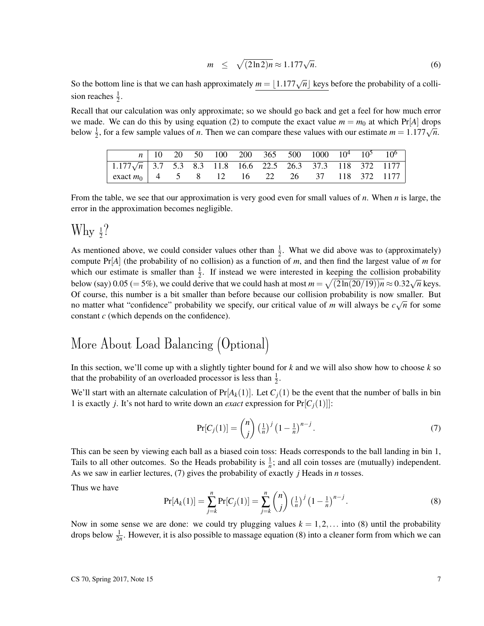$$
m \leq \sqrt{(2\ln 2)n} \approx 1.177\sqrt{n}.\tag{6}
$$

So the bottom line is that we can hash approximately  $m = |1.177\sqrt{n}|$  keys before the probability of a collision reaches  $\frac{1}{2}$ .

Recall that our calculation was only approximate; so we should go back and get a feel for how much error we made. We can do this by using equation (2) to compute the exact value  $m = m_0$  at which Pr[*A*] drops below  $\frac{1}{2}$ , for a few sample values of *n*. Then we can compare these values with our estimate  $m = 1.177\sqrt{n}$ .

|                                                                   |  |  |  |  |  | $n \mid 10$ 20 50 100 200 365 500 1000 10 <sup>4</sup> 10 <sup>5</sup> 10 <sup>6</sup> |
|-------------------------------------------------------------------|--|--|--|--|--|----------------------------------------------------------------------------------------|
| $1.177\sqrt{n}$ 3.7 5.3 8.3 11.8 16.6 22.5 26.3 37.3 118 372 1177 |  |  |  |  |  |                                                                                        |
| exact $m_0$   4 5 8 12 16 22 26 37 118 372 1177                   |  |  |  |  |  |                                                                                        |

From the table, we see that our approximation is very good even for small values of *n*. When *n* is large, the error in the approximation becomes negligible.

## Why  $\frac{1}{2}$ ?

As mentioned above, we could consider values other than  $\frac{1}{2}$ . What we did above was to (approximately) compute Pr[*A*] (the probability of no collision) as a function of *m*, and then find the largest value of *m* for which our estimate is smaller than  $\frac{1}{2}$ . If instead we were interested in keeping the collision probability below (say) 0.05 (= 5%), we could derive that we could hash at most  $m = \sqrt{(2\ln(20/19))n} \approx 0.32\sqrt{n}$  keys. Of course, this number is a bit smaller than before because our collision probability is now smaller. But no matter what "confidence" probability we specify, our critical value of *m* will always be  $c\sqrt{n}$  for some constant *c* (which depends on the confidence).

## More About Load Balancing (Optional)

In this section, we'll come up with a slightly tighter bound for *k* and we will also show how to choose *k* so that the probability of an overloaded processor is less than  $\frac{1}{2}$ .

We'll start with an alternate calculation of  $Pr[A_k(1)]$ . Let  $C_i(1)$  be the event that the number of balls in bin 1 is exactly *j*. It's not hard to write down an *exact* expression for  $Pr[C_i(1)]$ :

$$
\Pr[C_j(1)] = \binom{n}{j} \left(\frac{1}{n}\right)^j \left(1 - \frac{1}{n}\right)^{n-j}.\tag{7}
$$

This can be seen by viewing each ball as a biased coin toss: Heads corresponds to the ball landing in bin 1, Tails to all other outcomes. So the Heads probability is  $\frac{1}{n}$ ; and all coin tosses are (mutually) independent. As we saw in earlier lectures, (7) gives the probability of exactly *j* Heads in *n* tosses.

Thus we have

$$
Pr[A_k(1)] = \sum_{j=k}^{n} Pr[C_j(1)] = \sum_{j=k}^{n} {n \choose j} \left(\frac{1}{n}\right)^j \left(1 - \frac{1}{n}\right)^{n-j}.
$$
 (8)

Now in some sense we are done: we could try plugging values  $k = 1, 2, \ldots$  into (8) until the probability drops below  $\frac{1}{2n}$ . However, it is also possible to massage equation (8) into a cleaner form from which we can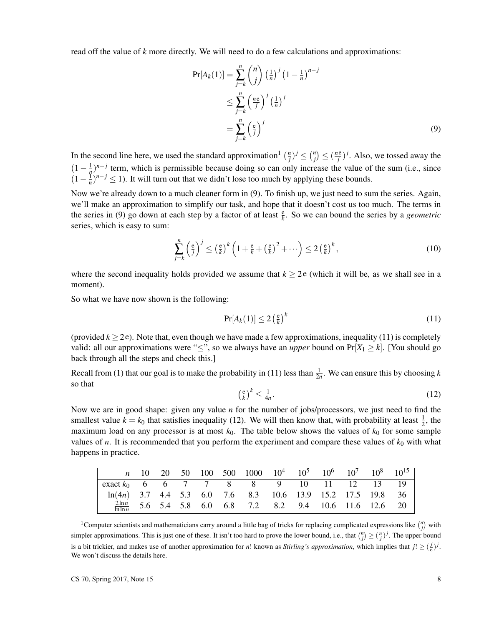read off the value of *k* more directly. We will need to do a few calculations and approximations:

$$
\Pr[A_k(1)] = \sum_{j=k}^n {n \choose j} \left(\frac{1}{n}\right)^j \left(1 - \frac{1}{n}\right)^{n-j}
$$
  
\n
$$
\leq \sum_{j=k}^n \left(\frac{ne}{j}\right)^j \left(\frac{1}{n}\right)^j
$$
  
\n
$$
= \sum_{j=k}^n \left(\frac{e}{j}\right)^j
$$
 (9)

In the second line here, we used the standard approximation<sup>1</sup>  $\left(\frac{n}{i}\right)$  $(\frac{n}{j})^j \leq {n \choose j}$  $\binom{n}{j} \leq \left(\frac{n e}{j}\right)$  $\frac{e}{i}$ )<sup>*j*</sup>. Also, we tossed away the  $(1 - \frac{1}{n})^{n-j}$  term, which is permissible because doing so can only increase the value of the sum (i.e., since  $(1 - \frac{1}{n})^{n-j} \le 1$ ). It will turn out that we didn't lose too much by applying these bounds.

Now we're already down to a much cleaner form in (9). To finish up, we just need to sum the series. Again, we'll make an approximation to simplify our task, and hope that it doesn't cost us too much. The terms in the series in (9) go down at each step by a factor of at least  $\frac{e}{k}$ . So we can bound the series by a *geometric* series, which is easy to sum:

$$
\sum_{j=k}^{n} \left(\frac{e}{j}\right)^{j} \leq \left(\frac{e}{k}\right)^{k} \left(1 + \frac{e}{k} + \left(\frac{e}{k}\right)^{2} + \cdots\right) \leq 2\left(\frac{e}{k}\right)^{k},\tag{10}
$$

where the second inequality holds provided we assume that  $k \geq 2e$  (which it will be, as we shall see in a moment).

So what we have now shown is the following:

$$
\Pr[A_k(1)] \le 2\left(\frac{\mathrm{e}}{k}\right)^k \tag{11}
$$

(provided  $k \ge 2e$ ). Note that, even though we have made a few approximations, inequality (11) is completely valid: all our approximations were " $\leq$ ", so we always have an *upper* bound on Pr[ $X_1 \geq k$ ]. [You should go back through all the steps and check this.]

Recall from (1) that our goal is to make the probability in (11) less than  $\frac{1}{2n}$ . We can ensure this by choosing k so that

$$
\left(\frac{e}{k}\right)^k \le \frac{1}{4n}.\tag{12}
$$

Now we are in good shape: given any value *n* for the number of jobs/processors, we just need to find the smallest value  $k = k_0$  that satisfies inequality (12). We will then know that, with probability at least  $\frac{1}{2}$ , the maximum load on any processor is at most  $k_0$ . The table below shows the values of  $k_0$  for some sample values of *n*. It is recommended that you perform the experiment and compare these values of *k*<sup>0</sup> with what happens in practice.

|                                                                                                                                                |  |  | $n \mid 10$ 20 50 100 500 1000 10 <sup>4</sup> 10 <sup>5</sup> 10 <sup>6</sup> 10 <sup>7</sup> 10 <sup>8</sup> 10 <sup>15</sup> |  |  |  |
|------------------------------------------------------------------------------------------------------------------------------------------------|--|--|---------------------------------------------------------------------------------------------------------------------------------|--|--|--|
| exact $k_0$   6 6 7 7 8 8 9 10 11 12 13 19                                                                                                     |  |  |                                                                                                                                 |  |  |  |
|                                                                                                                                                |  |  |                                                                                                                                 |  |  |  |
| $\ln(4n)$ 3.7 4.4 5.3 6.0 7.6 8.3 10.6 13.9 15.2 17.5 19.8 36<br>$\frac{2 \ln n}{\ln \ln n}$ 5.6 5.4 5.8 6.0 6.8 7.2 8.2 9.4 10.6 11.6 12.6 20 |  |  |                                                                                                                                 |  |  |  |

<sup>&</sup>lt;sup>1</sup> Computer scientists and mathematicians carry around a little bag of tricks for replacing complicated expressions like  $\binom{n}{j}$  with simpler approximations. This is just one of these. It isn't too hard to prove the lower bound, i.e., that  ${n \choose j} \geq \frac{n}{j}$ . The upper bound is a bit trickier, and makes use of another approximation for *n*! known as *Stirling's approximation*, which implies that  $j! \geq \left(\frac{j}{e}\right)^j$ . We won't discuss the details here.